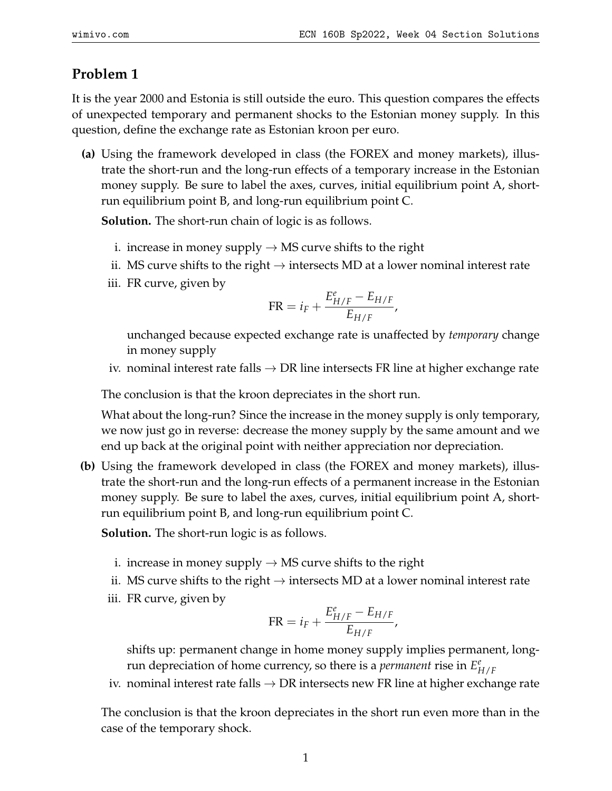## **Problem 1**

It is the year 2000 and Estonia is still outside the euro. This question compares the effects of unexpected temporary and permanent shocks to the Estonian money supply. In this question, define the exchange rate as Estonian kroon per euro.

**(a)** Using the framework developed in class (the FOREX and money markets), illustrate the short-run and the long-run effects of a temporary increase in the Estonian money supply. Be sure to label the axes, curves, initial equilibrium point A, shortrun equilibrium point B, and long-run equilibrium point C.

**Solution.** The short-run chain of logic is as follows.

- i. increase in money supply  $\rightarrow$  MS curve shifts to the right
- ii. MS curve shifts to the right  $\rightarrow$  intersects MD at a lower nominal interest rate
- iii. FR curve, given by

$$
FR = i_F + \frac{E_{H/F}^e - E_{H/F}}{E_{H/F}},
$$

unchanged because expected exchange rate is unaffected by *temporary* change in money supply

iv. nominal interest rate falls  $\rightarrow$  DR line intersects FR line at higher exchange rate

The conclusion is that the kroon depreciates in the short run.

What about the long-run? Since the increase in the money supply is only temporary, we now just go in reverse: decrease the money supply by the same amount and we end up back at the original point with neither appreciation nor depreciation.

**(b)** Using the framework developed in class (the FOREX and money markets), illustrate the short-run and the long-run effects of a permanent increase in the Estonian money supply. Be sure to label the axes, curves, initial equilibrium point A, shortrun equilibrium point B, and long-run equilibrium point C.

**Solution.** The short-run logic is as follows.

- i. increase in money supply  $\rightarrow$  MS curve shifts to the right
- ii. MS curve shifts to the right  $\rightarrow$  intersects MD at a lower nominal interest rate
- iii. FR curve, given by

$$
FR = i_F + \frac{E_{H/F}^e - E_{H/F}}{E_{H/F}},
$$

shifts up: permanent change in home money supply implies permanent, longrun depreciation of home currency, so there is a *permanent* rise in  $E_F^e$ *H*/*F*

iv. nominal interest rate falls  $\rightarrow$  DR intersects new FR line at higher exchange rate

The conclusion is that the kroon depreciates in the short run even more than in the case of the temporary shock.